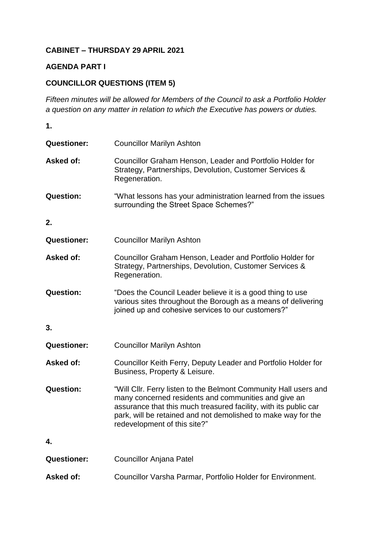## **CABINET – THURSDAY 29 APRIL 2021**

## **AGENDA PART I**

## **COUNCILLOR QUESTIONS (ITEM 5)**

*Fifteen minutes will be allowed for Members of the Council to ask a Portfolio Holder a question on any matter in relation to which the Executive has powers or duties.*

**1. Questioner:** Councillor Marilyn Ashton **Asked of:** Councillor Graham Henson, Leader and Portfolio Holder for Strategy, Partnerships, Devolution, Customer Services & Regeneration. **Question:** "What lessons has your administration learned from the issues surrounding the Street Space Schemes?" **2. Questioner:** Councillor Marilyn Ashton **Asked of:** Councillor Graham Henson, Leader and Portfolio Holder for Strategy, Partnerships, Devolution, Customer Services & Regeneration. **Question:** "Does the Council Leader believe it is a good thing to use various sites throughout the Borough as a means of delivering joined up and cohesive services to our customers?" **3. Questioner:** Councillor Marilyn Ashton Asked of: Councillor Keith Ferry, Deputy Leader and Portfolio Holder for Business, Property & Leisure. **Question:** "Will Cllr. Ferry listen to the Belmont Community Hall users and many concerned residents and communities and give an assurance that this much treasured facility, with its public car park, will be retained and not demolished to make way for the redevelopment of this site?" **4. Questioner:** Councillor Anjana Patel

**Asked of:** Councillor Varsha Parmar, Portfolio Holder for Environment.